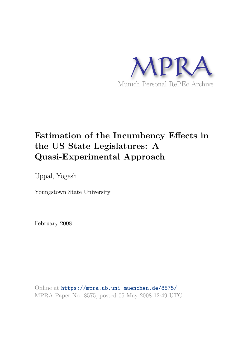

## **Estimation of the Incumbency Effects in the US State Legislatures: A Quasi-Experimental Approach**

Uppal, Yogesh

Youngstown State University

February 2008

Online at https://mpra.ub.uni-muenchen.de/8575/ MPRA Paper No. 8575, posted 05 May 2008 12:49 UTC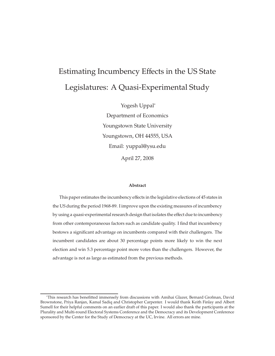# Estimating Incumbency Effects in the US State Legislatures: A Quasi-Experimental Study

Yogesh Uppal<sup>∗</sup> Department of Economics Youngstown State University Youngstown, OH 44555, USA Email: yuppal@ysu.edu April 27, 2008

#### **Abstract**

This paper estimates the incumbency effects in the legislative elections of 45 states in the US during the period 1968-89. I improve upon the existing measures of incumbency by using a quasi-experimental research design that isolates the effect due to incumbency from other contemporaneous factors such as candidate quality. I find that incumbency bestows a significant advantage on incumbents compared with their challengers. The incumbent candidates are about 30 percentage points more likely to win the next election and win 5.3 percentage point more votes than the challengers. However, the advantage is not as large as estimated from the previous methods.

<sup>∗</sup>This research has benefitted immensely from discussions with Amihai Glazer, Bernard Grofman, David Brownstone, Priya Ranjan, Kamal Sadiq and Christopher Carpenter. I would thank Keith Finlay and Albert Sumell for their helpful comments on an earlier draft of this paper. I would also thank the participants at the Plurality and Multi-round Electoral Systems Conference and the Democracy and its Development Conference sponsored by the Center for the Study of Democracy at the UC, Irvine. All errors are mine.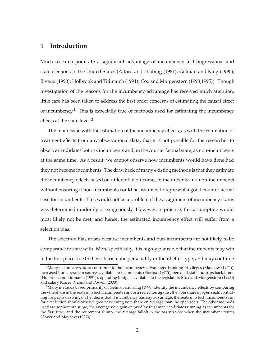## **1 Introduction**

Much research points to a significant advantage of incumbency in Congressional and state elections in the United States (Alford and Hibbing (1981); Gelman and King (1990); Breaux (1990); Holbrook and Tidmarch (1991); Cox and Morgenstern (1993,1995)). Though investigation of the reasons for the incumbency advantage has received much attention, little care has been taken to address the first order concerns of estimating the causal effect of incumbency.<sup>1</sup> This is especially true of methods used for estimating the incumbency effects at the state level. $2$ 

The main issue with the estimation of the incumbency effects, as with the estimation of treatment effects from any observational data, that it is not possible for the researcher to observe candidates both as incumbents and, in the counterfactual state, as non-incumbents at the same time. As a result, we cannot observe how incumbents would have done had they not become incumbents. The drawback of many existing methods is that they estimate the incumbency effects based on differential outcomes of incumbents and non-incumbents without ensuring if non-incumbents could be assumed to represent a good counterfactual case for incumbents. This would not be a problem if the assignment of incumbency status was determined randomly or exogenously. However, in practice, this assumption would most likely not be met, and hence, the estimated incumbency effect will suffer from a selection bias.

The selection bias arises because incumbents and non-incumbents are not likely to be comparable to start with. More specifically, it is highly plausible that incumbents may win in the first place due to their charismatic personality or their better type, and may continue

<sup>&</sup>lt;sup>1</sup>Many factors are said to contribute to the incumbency advantage: franking privileges (Mayhew (1974)), increased bureaucratic resources available to incumbents (Fiorina (1977)), personal staff and trips back home (Holbrook and Tidmarch (1991)), operating budgets available to the legislators (Cox and Morgenstern (1993)) and salary (Carey, Neimi and Powell (2000)).

 $2$ Many methods based primarily on Gelman and King (1990) identify the incumbency effects by comparing the vote share in the seats in which incumbents run for a reelection against the vote share in open seats controlling for partisan swings. The idea is that if incumbency has any advantage, the seats in which incumbents run for a reelection should observe greater winning vote share on average than the open seats. The other methods used are sophomore surge, the average vote gain enjoyed by freshman candidates running as incumbents for the first time, and the retirement slump, the average falloff in the party's vote when the incumbent retires (Cover and Mayhew (1977)).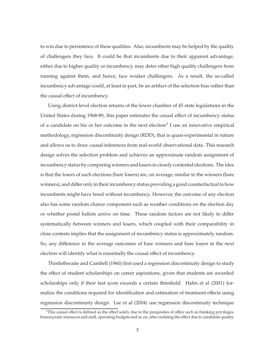to win due to persistence of these qualities. Also, incumbents may be helped by the quality of challengers they face. It could be that incumbents due to their apparent advantage, either due to higher quality or incumbency, may deter other high quality challengers from running against them, and hence, face weaker challengers. As a result, the so-called incumbency advantage could, at least in part, be an artifact of the selection bias rather than the causal effect of incumbency.

Using district-level election returns of the lower chamber of 45 state legislatures in the United States during 1968-89, this paper estimates the casual effect of incumbency status of a candidate on his or her outcome in the next election<sup>3</sup> I use an innovative empirical methodology, regression discontinuity design (RDD), that is quasi-experimental in nature and allows us to draw causal inferences from real-world observational data. This research design solves the selection problem and achieves an approximate random assignment of incumbency status by comparing winners and losers in closely contested elections. The idea is that the losers of such elections (bare losers) are, on average, similar to the winners (bare winners), and differ only in their incumbency status providing a good counterfactual to how incumbents might have fared without incumbency. However, the outcome of any election also has some random chance component such as weather conditions on the election day or whether postal ballots arrive on time. These random factors are not likely to differ systematically between winners and losers, which coupled with their comparability in close contests implies that the assignment of incumbency status is approximately random. So, any difference in the average outcomes of bare winners and bare losers in the next election will identify what is essentially the causal effect of incumbency.

Thistlethwaite and Cambell (1960) first used a regression discontinuity design to study the effect of student scholarships on career aspirations, given that students are awarded scholarships only if their test score exceeds a certain threshold. Hahn et al (2001) formalize the conditions required for identification and estimation of treatment effects using regression discontinuity design. Lee et al (2004) use regression discontinuity technique

 $3$ This causal effect is defined as the effect solely due to the perquisites of office such as franking privileges, bureaucratic resources and staff, operating budgets and so on, after isolating the effect due to candidate quality.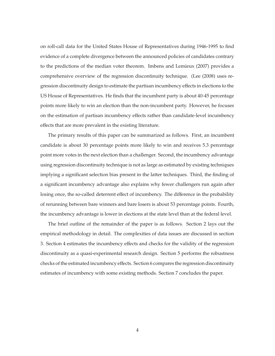on roll-call data for the United States House of Representatives during 1946-1995 to find evidence of a complete divergence between the announced policies of candidates contrary to the predictions of the median voter theorem. Imbens and Lemieux (2007) provides a comprehensive overview of the regression discontinuity technique. (Lee (2008) uses regression discontinuity design to estimate the partisan incumbency effects in elections to the US House of Representatives. He finds that the incumbent party is about 40-45 percentage points more likely to win an election than the non-incumbent party. However, he focuses on the estimation of partisan incumbency effects rather than candidate-level incumbency effects that are more prevalent in the existing literature.

The primary results of this paper can be summarized as follows. First, an incumbent candidate is about 30 percentage points more likely to win and receives 5.3 percentage point more votes in the next election than a challenger. Second, the incumbency advantage using regression discontinuity technique is not as large as estimated by existing techniques implying a significant selection bias present in the latter techniques. Third, the finding of a significant incumbency advantage also explains why fewer challengers run again after losing once, the so-called deterrent effect of incumbency. The difference in the probability of rerunning between bare winners and bare losers is about 53 percentage points. Fourth, the incumbency advantage is lower in elections at the state level than at the federal level.

The brief outline of the remainder of the paper is as follows. Section 2 lays out the empirical methodology in detail. The complexities of data issues are discussed in section 3. Section 4 estimates the incumbency effects and checks for the validity of the regression discontinuity as a quasi-experimental research design. Section 5 performs the robustness checks of the estimated incumbency effects. Section 6 compares the regression discontinuity estimates of incumbency with some existing methods. Section 7 concludes the paper.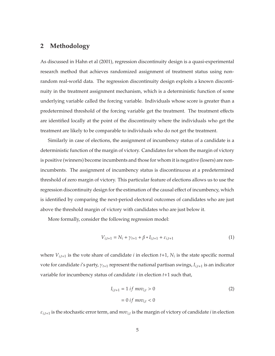## **2 Methodology**

As discussed in Hahn et al (2001), regression discontinuity design is a quasi-experimental research method that achieves randomized assignment of treatment status using nonrandom real-world data. The regression discontinuity design exploits a known discontinuity in the treatment assignment mechanism, which is a deterministic function of some underlying variable called the forcing variable. Individuals whose score is greater than a predetermined threshold of the forcing variable get the treatment. The treatment effects are identified locally at the point of the discontinuity where the individuals who get the treatment are likely to be comparable to individuals who do not get the treatment.

Similarly in case of elections, the assignment of incumbency status of a candidate is a deterministic function of the margin of victory. Candidates for whom the margin of victory is positive (winners) become incumbents and those for whom it is negative (losers) are nonincumbents. The assignment of incumbency status is discontinuous at a predetermined threshold of zero margin of victory. This particular feature of elections allows us to use the regression discontinuity design for the estimation of the causal effect of incumbency, which is identified by comparing the next-period electoral outcomes of candidates who are just above the threshold margin of victory with candidates who are just below it.

More formally, consider the following regression model:

$$
V_{i,t+1} = N_i + \gamma_{t+1} + \beta * I_{i,t+1} + \varepsilon_{i,t+1}
$$
 (1)

where  $V_{i,t+1}$  is the vote share of candidate *i* in election  $t+1$ ,  $N_i$  is the state specific normal vote for candidate *i*'s party, γ*t*+<sup>1</sup> represent the national partisan swings, *Ii*,*t*+<sup>1</sup> is an indicator variable for incumbency status of candidate *i* in election *t*+1 such that,

$$
I_{i,t+1} = 1 \text{ if } mov_{i,t} > 0
$$
  
= 0 if  $mov_{i,t} < 0$  (2)

 $\varepsilon_{i,t+1}$  is the stochastic error term, and  $mov_{i,t}$  is the margin of victory of candidate *i* in election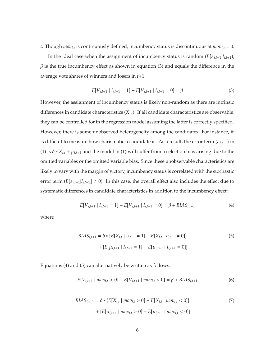*t*. Though *movi*,*<sup>t</sup>* is continuously defined, incumbency status is discontinuous at *movi*,*<sup>t</sup>* = 0.

In the ideal case when the assignment of incumbency status is random  $(E[\varepsilon_{i,t+1}|I_{i,t+1}),$  $\beta$  is the true incumbency effect as shown in equation (3) and equals the difference in the average vote shares of winners and losers in *t*+1:

$$
E[V_{i,t+1} | I_{i,t+1} = 1] - E[V_{i,t+1} | I_{i,t+1} = 0] = \beta
$$
\n(3)

However, the assignment of incumbency status is likely non-random as there are intrinsic differences in candidate characteristics (*Xi*,*t*). If all candidate characteristics are observable, they can be controlled for in the regression model assuming the latter is correctly specified. However, there is some unobserved heterogeneity among the candidates. For instance, it is difficult to measure how charismatic a candidate is. As a result, the error term  $(\varepsilon_{i,t+1})$  in (1) is  $\delta * X_{i,t} + \mu_{i,t+1}$  and the model in (1) will suffer from a selection bias arising due to the omitted variables or the omitted variable bias. Since these unobservable characteristics are likely to vary with the margin of victory, incumbency status is correlated with the stochastic error term  $(E[\varepsilon_{i,t+1}|I_{i,t+1}] \neq 0)$ . In this case, the overall effect also includes the effect due to systematic differences in candidate characteristics in addition to the incumbency effect:

$$
E[V_{i,t+1} | I_{i,t+1} = 1] - E[V_{i,t+1} | I_{i,t+1} = 0] = \beta + BIAS_{i,t+1}
$$
\n(4)

where

$$
BIAS_{i,t+1} = \delta * \{E[X_{i,t} | I_{i,t+1} = 1] - E[X_{i,t} | I_{i,t+1} = 0]\} + \{E[\mu_{i,t+1} | I_{i,t+1} = 1] - E[\mu_{i,t+1} | I_{i,t+1} = 0]\}
$$
\n
$$
(5)
$$

Equations (4) and (5) can alternatively be written as follows:

$$
E[V_{i,t+1} \mid mov_{i,t} > 0] - E[V_{i,t+1} \mid mov_{i,t} < 0] = \beta + BIAS_{i,t+1}
$$
 (6)

$$
BIAS_{i,t+1} = \delta * \{E[X_{i,t} | mov_{i,t} > 0] - E[X_{i,t} | mov_{i,t} < 0]\} + \{E[\mu_{i,t+1} | mov_{i,t} > 0] - E[\mu_{i,t+1} | mov_{i,t} < 0]\}
$$
\n
$$
(7)
$$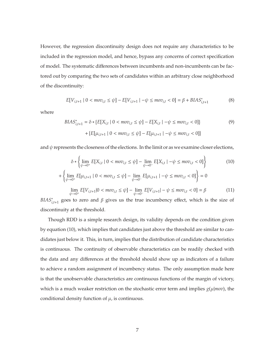However, the regression discontinuity design does not require any characteristics to be included in the regression model, and hence, bypass any concerns of correct specification of model. The systematic differences between incumbents and non-incumbents can be factored out by comparing the two sets of candidates within an arbitrary close neighborhood of the discontinuity:

$$
E[V_{i,t+1} | 0 < mov_{i,t} \le \psi] - E[V_{i,t+1} | -\psi \le mov_{i,t} < 0] = \beta + B A S_{i,t+1}^* \tag{8}
$$

where

$$
BIAS_{i,t+1}^* = \delta * \{E[X_{i,t} \mid 0 < mov_{i,t} \le \psi] - E[X_{i,t} \mid -\psi \le mov_{i,t} < 0] \} \\
\quad + \{E[\mu_{i,t+1} \mid 0 < mov_{i,t} \le \psi] - E[\mu_{i,t+1} \mid -\psi \le mov_{i,t} < 0] \}
$$
\n
$$
(9)
$$

and  $\psi$  represents the closeness of the elections. In the limit or as we examine closer elections,

$$
\delta * \left\{ \lim_{\psi \to 0^{+}} E[X_{i,t} \mid 0 < m \circ v_{i,t} \le \psi] - \lim_{\psi \to 0^{-}} E[X_{i,t} \mid -\psi \le m \circ v_{i,t} < 0] \right\} \tag{10}
$$
\n
$$
+ \left\{ \lim_{\psi \to 0^{+}} E[\mu_{i,t+1} \mid 0 < m \circ v_{i,t} \le \psi] - \lim_{\psi \to 0^{-}} E[\mu_{i,t+1} \mid -\psi \le m \circ v_{i,t} < 0] \right\} = 0
$$
\n
$$
\lim_{\psi \to 0^{+}} E[V_{i,t+1} \mid 0 < m \circ v_{i,t} \le \psi] - \lim_{\psi \to 0^{-}} E[V_{i,t+1} \mid -\psi \le m \circ v_{i,t} < 0] = \beta \tag{11}
$$

*BIAS*<sup>\*</sup><sub>*i*,*t*+1</sub></sub> goes to zero and β gives us the true incumbency effect, which is the size of discontinuity at the threshold.

Though RDD is a simple research design, its validity depends on the condition given by equation (10), which implies that candidates just above the threshold are similar to candidates just below it. This, in turn, implies that the distribution of candidate characteristics is continuous. The continuity of observable characteristics can be readily checked with the data and any differences at the threshold should show up as indicators of a failure to achieve a random assignment of incumbency status. The only assumption made here is that the unobservable characteristics are continuous functions of the margin of victory, which is a much weaker restriction on the stochastic error term and implies *g*(µ|*mov*), the conditional density function of  $\mu$ , is continuous.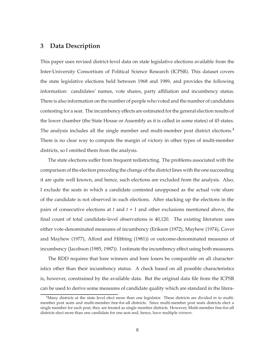## **3 Data Description**

This paper uses revised district-level data on state legislative elections available from the Inter-University Consortium of Political Science Research (ICPSR). This dataset covers the state legislative elections held between 1968 and 1989, and provides the following information: candidates' names, vote shares, party affiliation and incumbency status. There is also information on the number of people who voted and the number of candidates contesting for a seat. The incumbency effects are estimated for the general election results of the lower chamber (the State House or Assembly as it is called in some states) of 45 states. The analysis includes all the single member and multi-member post district elections.<sup>4</sup> There is no clear way to compute the margin of victory in other types of multi-member districts, so I omitted them from the analysis.

The state elections suffer from frequent redistricting. The problems associated with the comparison of the election preceding the change of the district lines with the one succeeding it are quite well known, and hence, such elections are excluded from the analysis. Also, I exclude the seats in which a candidate contested unopposed as the actual vote share of the candidate is not observed in such elections. After stacking up the elections in the pairs of consecutive elections at *t* and *t* + 1 and other exclusions mentioned above, the final count of total candidate-level observations is 40,120. The existing literature uses either vote-denominated measures of incumbency (Erikson (1972), Mayhew (1974), Cover and Mayhew (1977), Alford and Hibbing (1981)) or outcome-denominated measures of incumbency (Jacobson (1985, 1987)). I estimate the incumbency effect using both measures.

The RDD requires that bare winners and bare losers be comparable on all characteristics other than their incumbency status. A check based on all possible characteristics is, however, constrained by the available data. But the original data file from the ICPSR can be used to derive some measures of candidate quality which are standard in the litera-

<sup>4</sup>Many districts at the state level elect more than one legislator. These districts are divided in to multimember post seats and multi-member free-for-all districts. Since multi-member post seats districts elect a single member for each post, they are treated as single member districts. However, Multi-member free-for-all districts elect more than one candidate for one seat and, hence, have multiple *winners*.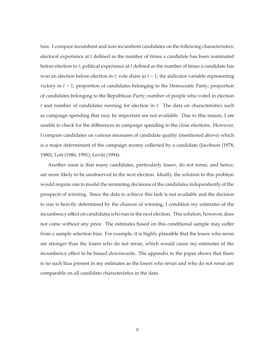ture. I compare incumbent and non-incumbent candidates on the following characteristics: electoral experience at *t* defined as the number of times a candidate has been nominated before election in *t*; political experience at *t* defined as the number of times a candidate has won an election before election in *t*; vote share in  $t - 1$ ; the indicator variable representing victory in *t* − 1; proportion of candidates belonging to the Democratic Party; proportion of candidates belonging to the Republican Party; number of people who voted in election *t* and number of candidates running for election in *t*. The data on characteristics such as campaign spending that may be important are not available. Due to this reason, I am unable to check for the differences in campaign spending in the close elections. However, I compare candidates on various measures of candidate quality (mentioned above) which is a major determinant of the campaign money collected by a candidate (Jacobson (1978, 1980), Lott (1986, 1991), Levitt (1994).

Another issue is that many candidates, particularly losers, do not rerun, and hence, are more likely to be unobserved in the next election. Ideally, the solution to this problem would require one to model the rerunning decisions of the candidates independently of the prospects of winning. Since the data to achieve this task is not available and the decision to run is heavily determined by the chances of winning, I condition my estimates of the incumbency effect on candidates who run in the next election. This solution, however, does not come without any price. The estimates based on this conditional sample may suffer from a sample selection bias. For example, it is highly plausible that the losers who rerun are stronger than the losers who do not rerun, which would cause my estimates of the incumbency effect to be biased downwards. The appendix to the paper shows that there is no such bias present in my estimates as the losers who rerun and who do not rerun are comparable on all candidate characteristics in the data.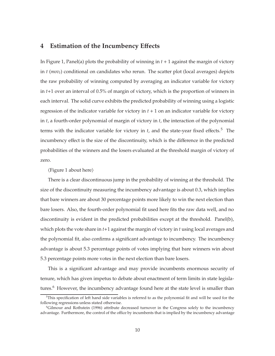## **4 Estimation of the Incumbency E**ff**ects**

In Figure 1, Panel(a) plots the probability of winning in *t* + 1 against the margin of victory in *t* (*movt*) conditional on candidates who rerun. The scatter plot (local averages) depicts the raw probability of winning computed by averaging an indicator variable for victory in *t*+1 over an interval of 0.5% of margin of victory, which is the proportion of winners in each interval. The solid curve exhibits the predicted probability of winning using a logistic regression of the indicator variable for victory in  $t + 1$  on an indicator variable for victory in *t*, a fourth-order polynomial of margin of victory in *t*, the interaction of the polynomial terms with the indicator variable for victory in  $t$ , and the state-year fixed effects.<sup>5</sup> The incumbency effect is the size of the discontinuity, which is the difference in the predicted probabilities of the winners and the losers evaluated at the threshold margin of victory of zero.

 $\langle$ Figure 1 about here $\rangle$ 

There is a clear discontinuous jump in the probability of winning at the threshold. The size of the discontinuity measuring the incumbency advantage is about 0.3, which implies that bare winners are about 30 percentage points more likely to win the next election than bare losers. Also, the fourth-order polynomial fit used here fits the raw data well, and no discontinuity is evident in the predicted probabilities except at the threshold. Panel(b), which plots the vote share in *t*+1 against the margin of victory in *t* using local averages and the polynomial fit, also confirms a significant advantage to incumbency. The incumbency advantage is about 5.3 percentage points of votes implying that bare winners win about 5.3 percentage points more votes in the next election than bare losers.

This is a significant advantage and may provide incumbents enormous security of tenure, which has given impetus to debate about enactment of term limits in state legislatures.<sup>6</sup> However, the incumbency advantage found here at the state level is smaller than

<sup>&</sup>lt;sup>5</sup>This specification of left hand side variables is referred to as the polynomial fit and will be used for the following regressions unless stated otherwise.

<sup>6</sup>Gilmour and Rothstein (1996) attribute decreased turnover in the Congress solely to the incumbency advantage. Furthermore, the control of the office by incumbents that is implied by the incumbency advantage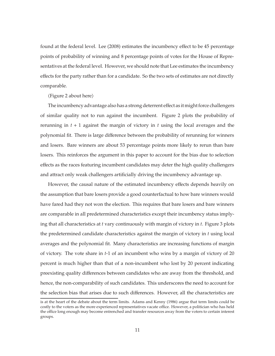found at the federal level. Lee (2008) estimates the incumbency effect to be 45 percentage points of probability of winning and 8 percentage points of votes for the House of Representatives at the federal level. However, we should note that Lee estimates the incumbency effects for the party rather than for a candidate. So the two sets of estimates are not directly comparable.

 $\langle$ Figure 2 about here $\rangle$ 

The incumbency advantage also has a strong deterrent effect as it might force challengers of similar quality not to run against the incumbent. Figure 2 plots the probability of rerunning in *t* + 1 against the margin of victory in *t* using the local averages and the polynomial fit. There is large difference between the probability of rerunning for winners and losers. Bare winners are about 53 percentage points more likely to rerun than bare losers. This reinforces the argument in this paper to account for the bias due to selection effects as the races featuring incumbent candidates may deter the high quality challengers and attract only weak challengers artificially driving the incumbency advantage up.

However, the causal nature of the estimated incumbency effects depends heavily on the assumption that bare losers provide a good counterfactual to how bare winners would have fared had they not won the election. This requires that bare losers and bare winners are comparable in all predetermined characteristics except their incumbency status implying that all characteristics at *t* vary continuously with margin of victory in *t*. Figure 3 plots the predetermined candidate characteristics against the margin of victory in *t* using local averages and the polynomial fit. Many characteristics are increasing functions of margin of victory. The vote share in *t*-1 of an incumbent who wins by a margin of victory of 20 percent is much higher than that of a non-incumbent who lost by 20 percent indicating preexisting quality differences between candidates who are away from the threshold, and hence, the non-comparability of such candidates. This underscores the need to account for the selection bias that arises due to such differences. However, all the characteristics are

is at the heart of the debate about the term limits. Adams and Kenny (1986) argue that term limits could be costly to the voters as the more experienced representatives vacate office. However, a politician who has held the office long enough may become entrenched and transfer resources away from the voters to certain interest groups.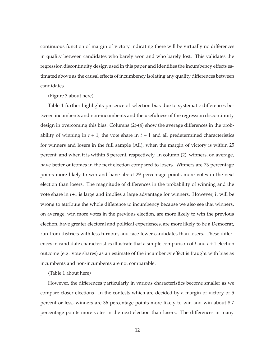continuous function of margin of victory indicating there will be virtually no differences in quality between candidates who barely won and who barely lost. This validates the regression discontinuity design used in this paper and identifies the incumbency effects estimated above as the causal effects of incumbency isolating any quality differences between candidates.

#### $\langle$ Figure 3 about here $\rangle$

Table 1 further highlights presence of selection bias due to systematic differences between incumbents and non-incumbents and the usefulness of the regression discontinuity design in overcoming this bias. Columns (2)-(4) show the average differences in the probability of winning in  $t + 1$ , the vote share in  $t + 1$  and all predetermined characteristics for winners and losers in the full sample (All), when the margin of victory is within 25 percent, and when it is within 5 percent, respectively. In column (2), winners, on average, have better outcomes in the next election compared to losers. Winners are 73 percentage points more likely to win and have about 29 percentage points more votes in the next election than losers. The magnitude of differences in the probability of winning and the vote share in *t*+1 is large and implies a large advantage for winners. However, it will be wrong to attribute the whole difference to incumbency because we also see that winners, on average, win more votes in the previous election, are more likely to win the previous election, have greater electoral and political experiences, are more likely to be a Democrat, run from districts with less turnout, and face fewer candidates than losers. These differences in candidate characteristics illustrate that a simple comparison of *t* and *t* + 1 election outcome (e.g. vote shares) as an estimate of the incumbency effect is fraught with bias as incumbents and non-incumbents are not comparable.

 $\langle$ Table 1 about here $\rangle$ 

However, the differences particularly in various characteristics become smaller as we compare closer elections. In the contests which are decided by a margin of victory of 5 percent or less, winners are 36 percentage points more likely to win and win about 8.7 percentage points more votes in the next election than losers. The differences in many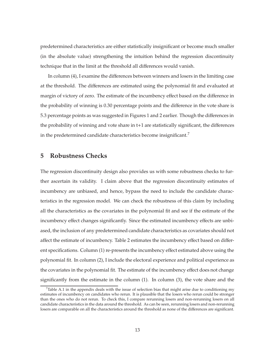predetermined characteristics are either statistically insignificant or become much smaller (in the absolute value) strengthening the intuition behind the regression discontinuity technique that in the limit at the threshold all differences would vanish.

In column (4), I examine the differences between winners and losers in the limiting case at the threshold. The differences are estimated using the polynomial fit and evaluated at margin of victory of zero. The estimate of the incumbency effect based on the difference in the probability of winning is 0.30 percentage points and the difference in the vote share is 5.3 percentage points as was suggested in Figures 1 and 2 earlier. Though the differences in the probability of winning and vote share in t+1 are statistically significant, the differences in the predetermined candidate characteristics become insignificant.

## **5 Robustness Checks**

The regression discontinuity design also provides us with some robustness checks to further ascertain its validity. I claim above that the regression discontinuity estimates of incumbency are unbiased, and hence, bypass the need to include the candidate characteristics in the regression model. We can check the robustness of this claim by including all the characteristics as the covariates in the polynomial fit and see if the estimate of the incumbency effect changes significantly. Since the estimated incumbency effects are unbiased, the inclusion of any predetermined candidate characteristics as covariates should not affect the estimate of incumbency. Table 2 estimates the incumbency effect based on different specifications. Column (1) re-presents the incumbency effect estimated above using the polynomial fit. In column (2), I include the electoral experience and political experience as the covariates in the polynomial fit. The estimate of the incumbency effect does not change significantly from the estimate in the column (1). In column (3), the vote share and the

 $7$ Table A.1 in the appendix deals with the issue of selection bias that might arise due to conditioning my estimates of incumbency on candidates who rerun. It is plausible that the losers who rerun could be stronger than the ones who do not rerun. To check this, I compare rerunning losers and non-rerunning losers on all candidate characteristics in the data around the threshold. As can be seen, rerunning losers and non-rerunning losers are comparable on all the characteristics around the threshold as none of the differences are significant.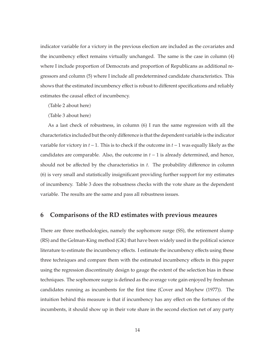indicator variable for a victory in the previous election are included as the covariates and the incumbency effect remains virtually unchanged. The same is the case in column (4) where I include proportion of Democrats and proportion of Republicans as additional regressors and column (5) where I include all predetermined candidate characteristics. This shows that the estimated incumbency effect is robust to different specifications and reliably estimates the causal effect of incumbency.

 $\langle$ Table 2 about here $\rangle$ 

Table 3 about here

As a last check of robustness, in column (6) I run the same regression with all the characteristics included but the only difference is that the dependent variable is the indicator variable for victory in *t* − 1. This is to check if the outcome in *t* − 1 was equally likely as the candidates are comparable. Also, the outcome in  $t - 1$  is already determined, and hence, should not be affected by the characteristics in *t*. The probability difference in column (6) is very small and statistically insignificant providing further support for my estimates of incumbency. Table 3 does the robustness checks with the vote share as the dependent variable. The results are the same and pass all robustness issues.

### **6 Comparisons of the RD estimates with previous meaures**

There are three methodologies, namely the sophomore surge (SS), the retirement slump (RS) and the Gelman-King method (GK) that have been widely used in the political science literature to estimate the incumbency effects. I estimate the incumbency effects using these three techniques and compare them with the estimated incumbency effects in this paper using the regression discontinuity design to gauge the extent of the selection bias in these techniques. The sophomore surge is defined as the average vote gain enjoyed by freshman candidates running as incumbents for the first time (Cover and Mayhew (1977)). The intuition behind this measure is that if incumbency has any effect on the fortunes of the incumbents, it should show up in their vote share in the second election net of any party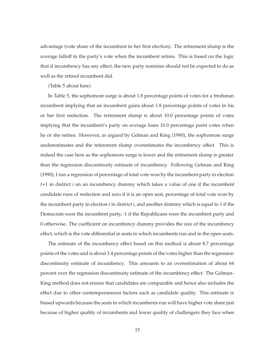advantage (vote share of the incumbent in her first election). The retirement slump is the average falloff in the party's vote when the incumbent retires. This is based on the logic that if incumbency has any effect, the new party nominee should not be expected to do as well as the retired incumbent did.

 $\langle$ Table 5 about here $\rangle$ 

In Table 5, the sophomore surge is about 1.8 percentage points of votes for a freshman incumbent implying that an incumbent gains about 1.8 percentage points of votes in his or her first reelection. The retirement slump is about 10.0 percentage points of votes implying that the incumbent's party on average loses 10.0 percentage point votes when he or she retires. However, as argued by Gelman and King (1990), the sophomore surge underestimates and the retirement slump overestimates the incumbency effect. This is indeed the case here as the sophomore surge is lower and the retirement slump is greater than the regression discontinuity estimate of incumbency. Following Gelman and King (1990), I run a regression of percentage of total vote won by the incumbent party in election *t*+1 in district *i* on an incumbency dummy which takes a value of one if the incumbent candidate runs of reelection and zero if it is an open seat, percentage of total vote won by the incumbent party in election *t* in district *i*, and another dummy which is equal to 1 if the Democrats were the incumbent party, -1 if the Republicans were the incumbent party and 0 otherwise. The coefficient on incumbency dummy provides the size of the incumbency effect, which is the vote differential in seats in which incumbents run and in the open seats.

The estimate of the incumbency effect based on this method is about 8.7 percentage points of the votes and is about 3.4 percentage points of the votes higher than the regression discontinuity estimate of incumbency. This amounts to an overestimation of about 64 percent over the regression discontinuity estimate of the incumbency effect. The Gelman-King method does not ensure that candidates are comparable and hence also includes the effect due to other contemporaneous factors such as candidate quality. This estimate is biased upwards because the seats in which incumbents run will have higher vote share just because of higher quality of incumbents and lower quality of challengers they face when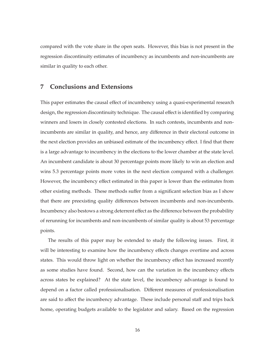compared with the vote share in the open seats. However, this bias is not present in the regression discontinuity estimates of incumbency as incumbents and non-incumbents are similar in quality to each other.

### **7 Conclusions and Extensions**

This paper estimates the causal effect of incumbency using a quasi-experimental research design, the regression discontinuity technique. The causal effect is identified by comparing winners and losers in closely contested elections. In such contests, incumbents and nonincumbents are similar in quality, and hence, any difference in their electoral outcome in the next election provides an unbiased estimate of the incumbency effect. I find that there is a large advantage to incumbency in the elections to the lower chamber at the state level. An incumbent candidate is about 30 percentage points more likely to win an election and wins 5.3 percentage points more votes in the next election compared with a challenger. However, the incumbency effect estimated in this paper is lower than the estimates from other existing methods. These methods suffer from a significant selection bias as I show that there are preexisting quality differences between incumbents and non-incumbents. Incumbency also bestows a strong deterrent effect as the difference between the probability of rerunning for incumbents and non-incumbents of similar quality is about 53 percentage points.

The results of this paper may be extended to study the following issues. First, it will be interesting to examine how the incumbency effects changes overtime and across states. This would throw light on whether the incumbency effect has increased recently as some studies have found. Second, how can the variation in the incumbency effects across states be explained? At the state level, the incumbency advantage is found to depend on a factor called professionalisation. Different measures of professionalisation are said to affect the incumbency advantage. These include personal staff and trips back home, operating budgets available to the legislator and salary. Based on the regression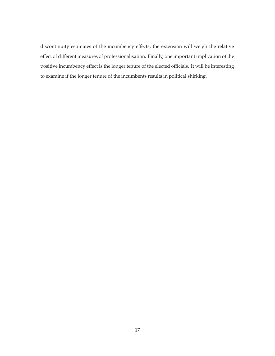discontinuity estimates of the incumbency effects, the extension will weigh the relative effect of different measures of professionalisation. Finally, one important implication of the positive incumbency effect is the longer tenure of the elected officials. It will be interesting to examine if the longer tenure of the incumbents results in political shirking.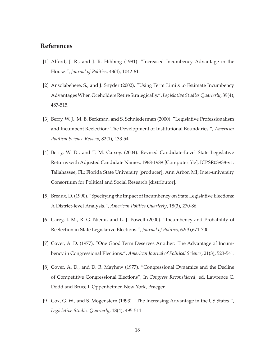## **References**

- [1] Alford, J. R., and J. R. Hibbing (1981). "Increased Incumbency Advantage in the House.", *Journal of Politics*, 43(4), 1042-61.
- [2] Ansolabehere, S., and J. Snyder (2002). "Using Term Limits to Estimate Incumbency Advantages When Oceholders Retire Strategically.", *Legislative Studies Quarterly*, 39(4), 487-515.
- [3] Berry, W. J., M. B. Berkman, and S. Schniederman (2000). "Legislative Professionalism and Incumbent Reelection: The Development of Institutional Boundaries.", *American Political Science Review*, 82(1), 133-54.
- [4] Berry, W. D., and T. M. Carsey. (2004). Revised Candidate-Level State Legislative Returns with Adjusted Candidate Names, 1968-1989 [Computer file]. ICPSR03938-v1. Tallahassee, FL: Florida State University [producer], Ann Arbor, MI; Inter-university Consortium for Political and Social Research [distributor].
- [5] Breaux, D. (1990). "Specifying the Impact of Incumbency on State Legislative Elections: A District-level Analysis.", *American Politics Quarterly*, 18(3), 270-86.
- [6] Carey, J. M., R. G. Niemi, and L. J. Powell (2000). "Incumbency and Probability of Reelection in State Legislative Elections.", *Journal of Politics*, 62(3),671-700.
- [7] Cover, A. D. (1977). "One Good Term Deserves Another: The Advantage of Incumbency in Congressional Elections.", *American Journal of Political Science*, 21(3), 523-541.
- [8] Cover, A. D., and D. R. Mayhew (1977). "Congressional Dynamics and the Decline of Competitive Congressional Elections", In *Congress Reconsidered*, ed. Lawrence C. Dodd and Bruce I. Oppenheimer, New York, Praeger.
- [9] Cox, G. W., and S. Mogenstern (1993). "The Increasing Advantage in the US States.", *Legislative Studies Quarterly*, 18(4), 495-511.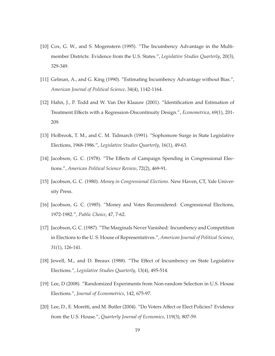- [10] Cox, G. W., and S. Mogenstern (1995). "The Incumbency Advantage in the Multimember Districts: Evidence from the U.S. States.", *Legislative Studies Quarterly*, 20(3), 329-349.
- [11] Gelman, A., and G. King (1990). "Estimating Incumbency Advantage without Bias.", *American Journal of Political Science*, 34(4), 1142-1164.
- [12] Hahn, J., P. Todd and W. Van Der Klaauw (2001). "Identification and Estimation of Treatment Effects with a Regression-Discontinuity Design.", *Econometrica*, 69(1), 201- 209.
- [13] Holbrook, T. M., and C. M. Tidmarch (1991). "Sophomore Surge in State Legislative Elections, 1968-1986.", *Legislative Studies Quarterly*, 16(1), 49-63.
- [14] Jacobson, G. C. (1978). "The Effects of Campaign Spending in Congressional Elections.", *American Political Science Review*, 72(2), 469-91.
- [15] Jacobson, G. C. (1980). *Money in Congressional Elections*. New Haven, CT, Yale University Press.
- [16] Jacobson, G. C. (1985). "Money and Votes Reconsidered: Congressional Elections, 1972-1982.", *Public Choice*, 47, 7-62.
- [17] Jacobson, G. C. (1987). "The Marginals Never Vanished: Incumbency and Competition in Elections to the U. S. House of Representatives.", *American Journal of Political Science*, 31(1), 126-141.
- [18] Jewell, M., and D. Breaux (1988). "The Effect of Incumbency on State Legislative Elections.", *Legislative Studies Quarterly*, 13(4), 495-514.
- [19] Lee, D (2008). "Randomized Experiments from Non-random Selection in U.S. House Elections.", *Journal of Econometrics*, 142, 675-97.
- [20] Lee, D., E. Moretti, and M. Butler (2004). "Do Voters Affect or Elect Policies? Evidence from the U.S. House.", *Quarterly Journal of Economics*, 119(3), 807-59.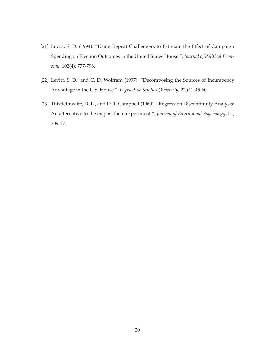- [21] Levitt, S. D. (1994). "Using Repeat Challengers to Estimate the Effect of Campaign Spending on Election Outcomes in the United States House.", *Journal of Political Economy*, 102(4), 777-798.
- [22] Levitt, S. D., and C. D. Wolfram (1997). "Decomposing the Sources of Incumbency Advantage in the U.S. House.", *Legislative Studies Quarterly*, 22,(1), 45-60.
- [23] Thistlethwaite, D. L., and D. T. Campbell (1960). "Regression Discontinuity Analysis: An alternative to the ex post facto experiment.", *Journal of Educational Psychology*, 51, 309-17.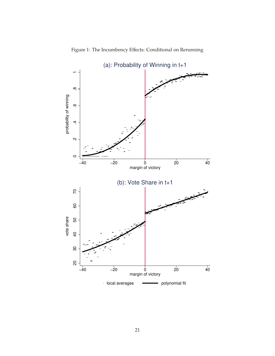

Figure 1: The Incumbency Effects: Conditional on Rerunning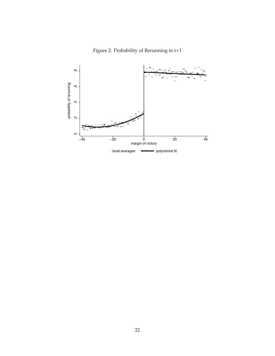

Figure 2: Probability of Rerunning in t+1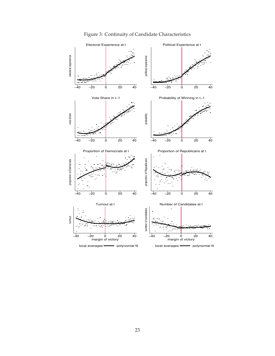

## Figure 3: Continuity of Candidate Characteristics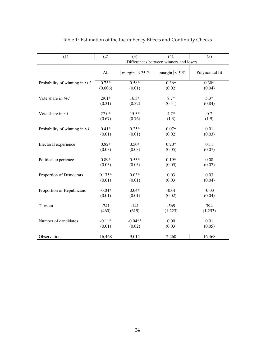| (1)                             | (2)      | (3)                      | (4).                                   | (5)            |  |
|---------------------------------|----------|--------------------------|----------------------------------------|----------------|--|
|                                 |          |                          | Differences between winners and losers |                |  |
|                                 | All      | $ $ margin $  \leq 25\%$ | $ $ margin $  \leq 5$ %                | Polynomial fit |  |
| Probability of winning in $t+1$ | $0.73*$  | $0.58*$                  | $0.36*$                                | $0.30*$        |  |
|                                 | (0.006)  | (0.01)                   | (0.02)                                 | (0.04)         |  |
| Vote share in $t+1$             | $29.1*$  | $16.3*$                  | $8.7*$                                 | $5.3*$         |  |
|                                 | (0.31)   | (0.32)                   | (0.51)                                 | (0.84)         |  |
| Vote share in $t-1$             | $27.0*$  | $15.3*$                  | $4.7*$                                 | 0.7            |  |
|                                 | (0.67)   | (0.76)                   | (1.3)                                  | (1.9)          |  |
| Probability of winning in $t-1$ | $0.41*$  | $0.25*$                  | $0.07*$                                | 0.01           |  |
|                                 | (0.01)   | (0.01)                   | (0.02)                                 | (0.03)         |  |
| Electoral experience            | $0.82*$  | $0.50*$                  | $0.20*$                                | 0.11           |  |
|                                 | (0.03)   | (0.03)                   | (0.05)                                 | (0.07)         |  |
| Political experience            | $0.89*$  | $0.53*$                  | $0.19*$                                | 0.08           |  |
|                                 | (0.03)   | (0.03)                   | (0.05)                                 | (0.07)         |  |
| Proportion of Democrats         | $0.175*$ | $0.03*$                  | 0.03                                   | 0.03           |  |
|                                 | (0.01)   | (0.01)                   | (0.03)                                 | (0.04)         |  |
| Proportion of Republicans       | $-0.04*$ | $0.04*$                  | $-0.01$                                | $-0.03$        |  |
|                                 | (0.01)   | (0.01)                   | (0.02)                                 | (0.04)         |  |
| Turnout                         | $-741$   | $-141$                   | $-569$                                 | 394            |  |
|                                 | (460)    | (619)                    | (1,223)                                | (1,253)        |  |
| Number of candidates            | $-0.11*$ | $-0.04**$                | 0.00                                   | 0.01           |  |
|                                 | (0.01)   | (0.02)                   | (0.03)                                 | (0.05)         |  |
| Observations                    | 16,468   | 9,015                    | 2,260                                  | 16,468         |  |

Table 1: Estimation of the Incumbency Effects and Continuity Checks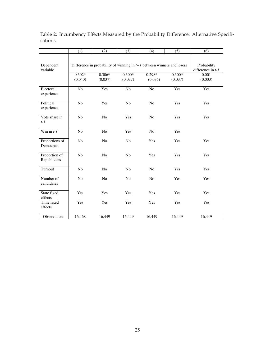|                              | (1)                                                                      | (2)            | (3)            | (4)            | (5)      | (6)                                |
|------------------------------|--------------------------------------------------------------------------|----------------|----------------|----------------|----------|------------------------------------|
| Dependent<br>variable        | Difference in probability of winning in $t+1$ between winners and losers |                |                |                |          | Probability<br>difference in $t-1$ |
|                              | $0.302*$                                                                 | $0.306*$       | $0.300*$       | $0.298*$       | $0.300*$ | 0.001                              |
|                              | (0.040)                                                                  | (0.037)        | (0.037)        | (0.036)        | (0.037)  | (0.003)                            |
| Electoral<br>experience      | No                                                                       | Yes            | $\rm No$       | $\rm No$       | Yes      | Yes                                |
| Political<br>experience      | No                                                                       | Yes            | No             | No             | Yes      | Yes                                |
| Vote share in<br>$t-1$       | N <sub>o</sub>                                                           | N <sub>0</sub> | Yes            | N <sub>0</sub> | Yes      | Yes                                |
| Win in $t-1$                 | N <sub>o</sub>                                                           | N <sub>0</sub> | Yes            | N <sub>o</sub> | Yes      |                                    |
| Proportions of<br>Democrats  | No                                                                       | No             | No             | Yes            | Yes      | Yes                                |
| Proportion of<br>Republicans | N <sub>o</sub>                                                           | No             | N <sub>o</sub> | Yes            | Yes      | Yes                                |
| Turnout                      | N <sub>0</sub>                                                           | N <sub>o</sub> | N <sub>o</sub> | N <sub>o</sub> | Yes      | Yes                                |
| Number of<br>candidates      | No                                                                       | No             | No             | N <sub>o</sub> | Yes      | Yes                                |
| State fixed<br>effects       | Yes                                                                      | Yes            | Yes            | Yes            | Yes      | Yes                                |
| Time fixed<br>effects        | Yes                                                                      | Yes            | Yes            | Yes            | Yes      | Yes                                |
| Observations                 | 16,468                                                                   | 16,449         | 16,449         | 16,449         | 16,449   | 16,449                             |

Table 2: Incumbency Effects Measured by the Probability Difference: Alternative Specifications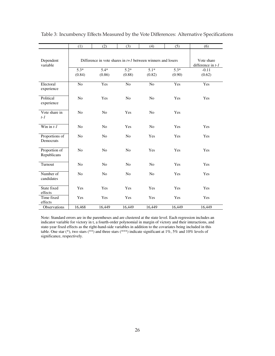|                              | (1)                                                           | (2)            | (3)            | (4)            | (5)    | (6)                                   |
|------------------------------|---------------------------------------------------------------|----------------|----------------|----------------|--------|---------------------------------------|
| Dependent<br>variable        | Difference in vote shares in $t+1$ between winners and losers |                |                |                |        | Vote share<br>difference in $t$ - $l$ |
|                              | $5.3*$                                                        | $5.4*$         | $5.2*$         | $5.1*$         | $5.3*$ | $-0.11$                               |
|                              | (0.84)                                                        | (0.86)         | (0.88)         | (0.82)         | (0.90) | (0.62)                                |
| Electoral<br>experience      | N <sub>o</sub>                                                | Yes            | N <sub>o</sub> | N <sub>o</sub> | Yes    | Yes                                   |
| Political<br>experience      | N <sub>o</sub>                                                | Yes            | N <sub>o</sub> | N <sub>o</sub> | Yes    | Yes                                   |
| Vote share in<br>$t-1$       | N <sub>o</sub>                                                | N <sub>0</sub> | Yes            | N <sub>0</sub> | Yes    |                                       |
| Win in $t-1$                 | N <sub>o</sub>                                                | N <sub>0</sub> | Yes            | N <sub>0</sub> | Yes    | Yes                                   |
| Proportions of<br>Democrats  | N <sub>o</sub>                                                | N <sub>0</sub> | N <sub>o</sub> | Yes            | Yes    | Yes                                   |
| Proportion of<br>Republicans | N <sub>o</sub>                                                | N <sub>o</sub> | N <sub>o</sub> | Yes            | Yes    | Yes                                   |
| Turnout                      | N <sub>0</sub>                                                | N <sub>0</sub> | N <sub>0</sub> | N <sub>o</sub> | Yes    | Yes                                   |
| Number of<br>candidates      | No                                                            | No             | No             | N <sub>o</sub> | Yes    | Yes                                   |
| State fixed<br>effects       | Yes                                                           | Yes            | Yes            | Yes            | Yes    | Yes                                   |
| Time fixed<br>effects        | Yes                                                           | Yes            | Yes            | Yes            | Yes    | Yes                                   |
| Observations                 | 16,468                                                        | 16,449         | 16,449         | 16,449         | 16,449 | 16,449                                |

Table 3: Incumbency Effects Measured by the Vote Differences: Alternative Specifications

Note: Standard errors are in the parentheses and are clustered at the state level. Each regression includes an indicator variable for victory in t, a fourth-order polynomial in margin of victory and their interactions, and state-year fixed effects as the right-hand-side variables in addition to the covariates being included in this table. One star (\*), two stars (\*\*) and three stars (\*\*\*) indicate significant at  $1\%$ ,  $5\%$  and  $10\%$  levels of significance, respectively.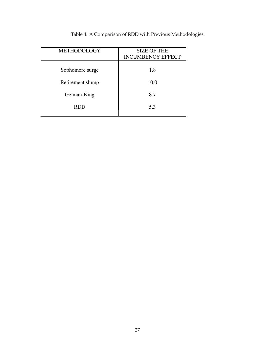| <b>METHODOLOGY</b> | <b>SIZE OF THE</b>       |  |  |
|--------------------|--------------------------|--|--|
|                    | <b>INCUMBENCY EFFECT</b> |  |  |
|                    |                          |  |  |
| Sophomore surge    | 1.8                      |  |  |
|                    |                          |  |  |
|                    |                          |  |  |
| Retirement slump   | 10.0                     |  |  |
|                    |                          |  |  |
| Gelman-King        | 8.7                      |  |  |
|                    |                          |  |  |
| <b>RDD</b>         | 5.3                      |  |  |
|                    |                          |  |  |
|                    |                          |  |  |

Table 4: A Comparison of RDD with Previous Methodologies